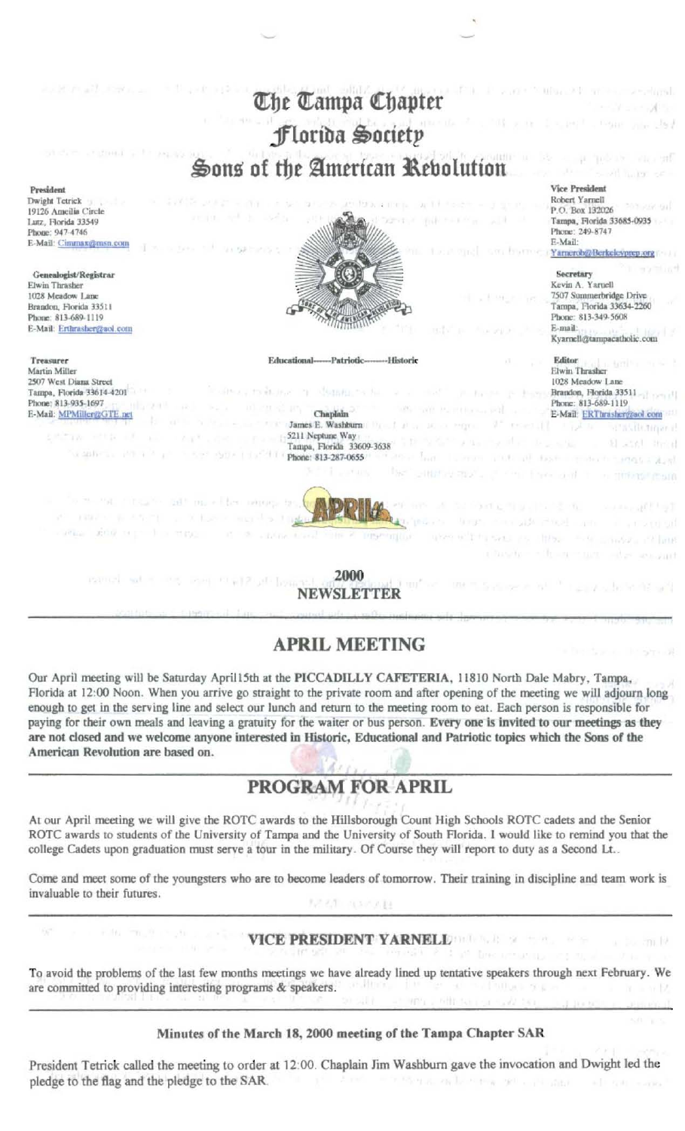

# **APRIL MEETING**

Our April meeting will be Saturday April15th at the PICCADILLY CAFETERIA, 11810 North Dale Mabry, Tampa, Florida at 12:00 Noon. When you arrive go straight to the private room and after opening of the meeting we will adjourn long enough to get in the serving line and select our lunch and return to the meeting room to eat. Each person is responsible for paying for their own meals and leaving a gratuity for the waiter or bus person. Every one is invited to our meetings as they are not closed and we welcome anyone interested in Historic, Educational and Patriotic topics which the Sons of the American Revolution are based on.

# PROGRAM FOR APRIL

At our April meeting we will give the ROTC awards to the Hillsborough Count High Schools ROTC cadets and the Senior ROTC awards to students of the University of Tampa and the University of South Florida. I would like to remind you that the college Cadets upon graduation must serve a tour in the military. Of Course they will report to duty as a Second Lt..

Come and meet some of the youngsters who are to become leaders of tomorrow. Their training in discipline and team work is invaluable to their futures.

## **VICE PRESIDENT YARNELL**

To avoid the problems of the last few months meetings we have already lined up tentative speakers through next February. We are committed to providing interesting programs & speakers. v Đ

### Minutes of the March 18, 2000 meeting of the Tampa Chapter SAR

President Tetrick called the meeting to order at 12:00. Chaplain Jim Washburn gave the invocation and Dwight led the pledge to the flag and the pledge to the SAR. the summer than the committee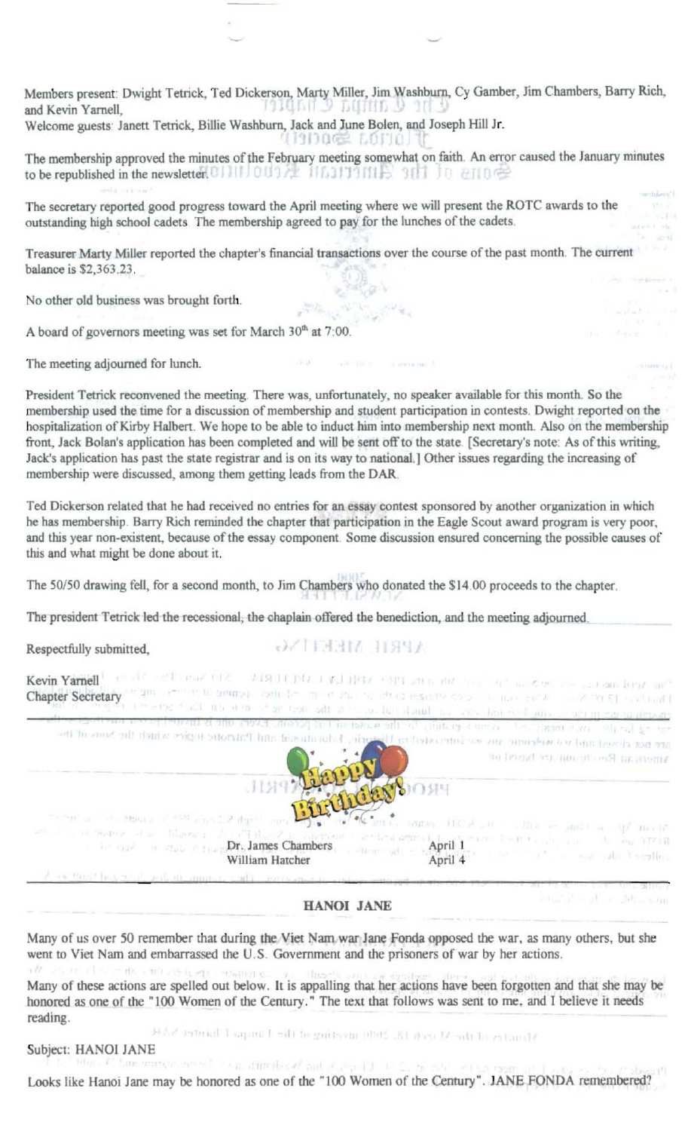Members present. Dwight Tetrick, Ted Dickerson, Marty Miller, Jim Washburn, Cy Gamber, Jim Chambers, Barry Rich, and Kevin Yarnell,

Welcome guests: Janett Tetrick, Billie Washburn, Jack and June Bolen, and Joseph Hill Jr.

The membership approved the minutes of the February meeting somewhat on faith. An error caused the January minutes to be republi hed in th newsletter.

The secretary reported good progress toward the April meeting where we will present the ROTC awards to the outstanding high school cadets. The membership agreed to pay for the lunches of the cadets.

Treasurer Marty Miller reported the chapter's financial transactions over the course of the past month. The current balance is \$2,363.23.

Ģ

No other old business was brought forth.

seita sea sui

A board of governors meeting was set for March 30<sup>th</sup> at 7:00.

The meeting adjourned for lunch.

President Tetrick reconvened the meeting. There was, unfortunately, no speaker available for this month. So the membership used the time for a discussion of membership and student participation in contests. Dwight reported on the hospitalization of Kirby Halbert. We hope to be able to induct him into membership next month. Also on the membership front, Jack Bolan's application has been completed and will be sent off to the state. [Secretary's note: As of this writing, Jack's application has past the state registrar and is on its way to national.] Other issues regarding the increasing of membership were discussed, among them getting leads from the DAR.

Ted Dickerson related that he had received no entries for an essay contest sponsored by another organization in which he has membership. Barry Rich reminded the chapter that participation in the Eagle Scout award program is very poor, and this year non-existent, because of the essay component. Some discussion ensured concerning the possible causes of this and what might be done about it.

The 50/50 drawing fell, for a second month, to Jim Chambers who donated the \$14.00 proceeds to the chapter.

The president Tetrick led the recessional, the chaplain offered the benediction, and the meeting adjourned.

Respectfully submitted.

 $\rightarrow$   $\sim$   $\sim$   $\sim$   $\sim$   $\sim$   $\sim$   $\sim$ 

| Kevin Yarnell<br>Chapter Secretary weight comment to the month of the contract of the contraction of the contract of the secretary weight to the month                                                                                 | the second contribution of the second of the second contribution of the second contribution of the second contribution of the second contribution of the second contribution of the second contribution of the second contribu<br>por investor such also also be seen saft also considerable in the land socionic constitutional and |
|----------------------------------------------------------------------------------------------------------------------------------------------------------------------------------------------------------------------------------------|--------------------------------------------------------------------------------------------------------------------------------------------------------------------------------------------------------------------------------------------------------------------------------------------------------------------------------------|
| en ag faart en am meer al aan aandan "oarbej aan in taas en de porton en die bestieden om aan aan aan de de de<br>are not closed und we welcome any securities are interested in Historical and Patriotic tegics which the Sons of the | anens at Recchender rechten basis                                                                                                                                                                                                                                                                                                    |
| Barbara and the Barbara<br>art it is a bound of set fillower and off the Automotive                                                                                                                                                    | <b>SIOSH</b><br>When it could there is a line of and it is specifically                                                                                                                                                                                                                                                              |
| of the flind has touch and the automatical office percentage to continue appro-                                                                                                                                                        |                                                                                                                                                                                                                                                                                                                                      |
|                                                                                                                                                                                                                                        |                                                                                                                                                                                                                                                                                                                                      |

**HANOI JANE** 

marate at a 10 main

n modul -

Many of us over 50 remember that during the Viet Nam war Jane Fonda opposed the war, as many others, but she went to Viet Nam and embarrassed the U.S. Government and the prisoners of war by her actions.

+list Many of these actions are spelled out below. It is appalling that her actions have been forgotten and that she may be honored as one of the "100 Women of the Century." The text that follows was sent to me, and I believe it needs reading.

Most of the M redi EL 2000 meching of the Lampa Lineary NAR

Subject: HANOI JANE<br>https://bancaration.com/site can attached and properly in Lots as the settle

Looks like Hanoi Jane may be honored as one of the "100 Women of the Century". JANE FONDA remembered?